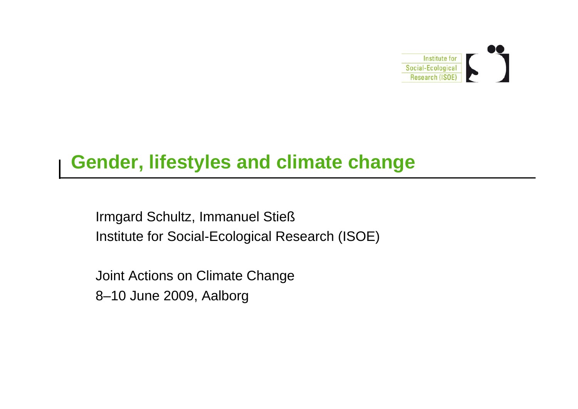

## **Gender, lifestyles and climate change**

Irmgard Schultz, Immanuel Stieß Institute for Social-Ecological Research (ISOE)

Joint Actions on Climate Change 8–10 June 2009, Aalborg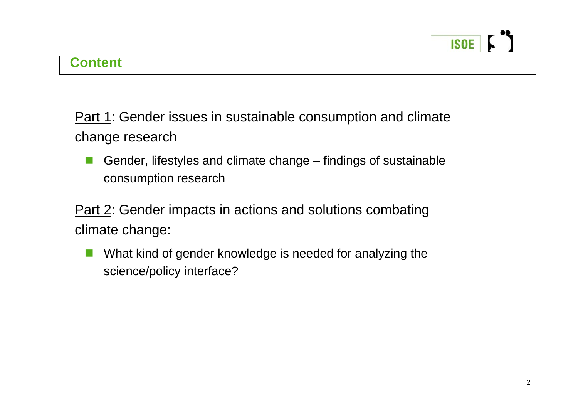Part 1: Gender issues in sustainable consumption and climate change research

F. Gender, lifestyles and climate change – findings of sustainable consumption research

**Part 2: Gender impacts in actions and solutions combating** climate change:

 $\mathcal{L}_{\mathcal{A}}$  What kind of gender knowledge is needed for analyzing the science/policy interface?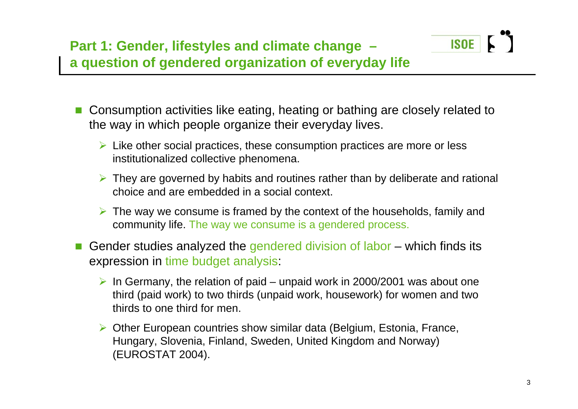

- Consumption activities like eating, heating or bathing are closely related to the way in which people organize their everyday lives.
	- $\triangleright$  Like other social practices, these consumption practices are more or less institutionalized collective phenomena.
	- ▶ They are governed by habits and routines rather than by deliberate and rational choice and are embedded in a social context.
	- $\triangleright$  The way we consume is framed by the context of the households, family and community life. The way we consume is a gendered process.
- F. Gender studies analyzed the gendered division of labor – which finds its expression in time budget analysis:
	- $\triangleright$  In Germany, the relation of paid unpaid work in 2000/2001 was about one third (paid work) to two thirds (unpaid work, housework) for women and two thirds to one third for men.
	- ▶ Other European countries show similar data (Belgium, Estonia, France, Hungary, Slovenia, Finland, Sweden, United Kingdom and Norway) (EUROSTAT 2004).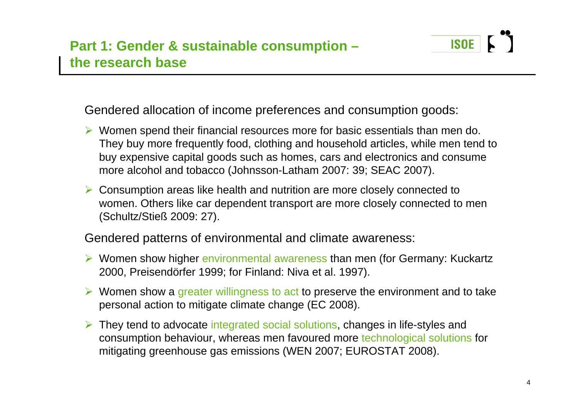

Gendered allocation of income preferences and consumption goods:

- Women spend their financial resources more for basic essentials than men do. They buy more frequently food, clothing and household articles, while men tend to buy expensive capital goods such as homes, cars and electronics and consume more alcohol and tobacco (Johnsson-Latham 2007: 39; SEAC 2007).
- **► Consumption areas like health and nutrition are more closely connected to** women. Others like car dependent transport are more closely connected to men (Schultz/Stieß 2009: 27).

Gendered patterns of environmental and climate awareness:

- ▶ Women show higher environmental awareness than men (for Germany: Kuckartz 2000, Preisendörfer 1999; for Finland: Niva et al. 1997).
- $\triangleright$  Women show a greater willingness to act to preserve the environment and to take personal action to mitigate climate change (EC 2008).
- ▶ They tend to advocate integrated social solutions, changes in life-styles and consumption behaviour, whereas men favoured more technological solutions for mitigating greenhouse gas emissions (WEN 2007; EUROSTAT 2008).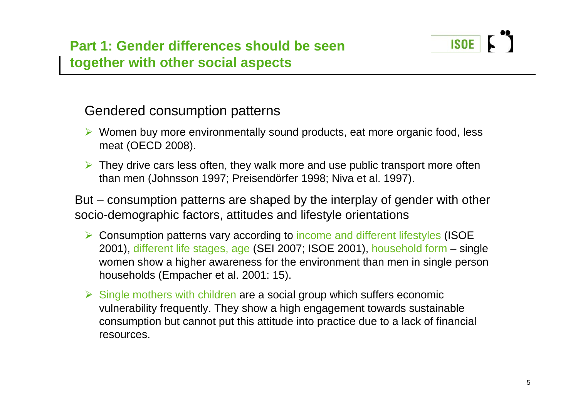

- Women buy more environmentally sound products, eat more organic food, less meat (OECD 2008).
- $\triangleright$  They drive cars less often, they walk more and use public transport more often than men (Johnsson 1997; Preisendörfer 1998; Niva et al. 1997).

But – consumption patterns are shaped by the interplay of gender with other socio-demographic factors, attitudes and lifestyle orientations

- ▶ Consumption patterns vary according to income and different lifestyles (ISOE 2001), different life stages, age (SEI 2007; ISOE 2001), household form – single women show a higher awareness for the environment than men in single person households (Empacher et al. 2001: 15).
- $\triangleright$  Single mothers with children are a social group which suffers economic vulnerability frequently. They show a high engagement towards sustainable consumption but cannot put this attitude into practice due to a lack of financial resources.

**ISOE**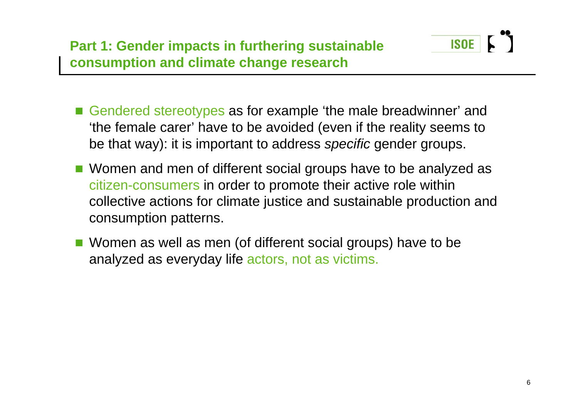

- Gendered stereotypes as for example 'the male breadwinner' and 'the female carer' have to be avoided (even if the reality seems to be that way): it is important to address *specific* gender groups.
- Women and men of different social groups have to be analyzed as citizen-consumers in order to promote their active role within collective actions for climate justice and sustainable production and consumption patterns.
- Women as well as men (of different social groups) have to be analyzed as everyday life actors, not as victims.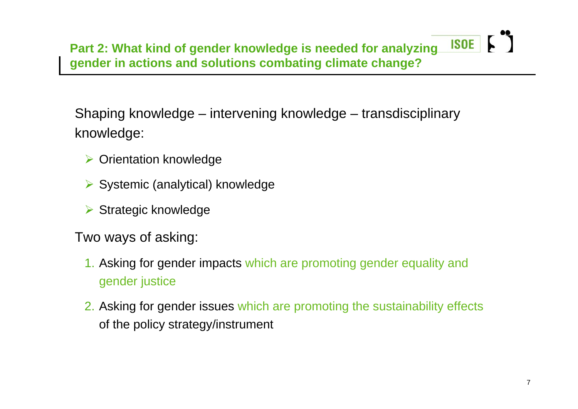Shaping knowledge – intervening knowledge – transdisciplinary knowledge:

- **▶ Orientation knowledge**
- ▶ Systemic (analytical) knowledge
- **▶ Strategic knowledge**

Two ways of asking:

- 1. Asking for gender impacts which are promoting gender equality and gender justice
- 2. Asking for gender issues which are promoting the sustainability effects of the policy strategy/instrument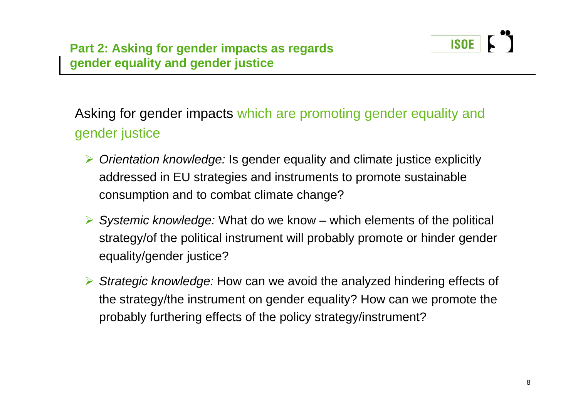

## Asking for gender impacts which are promoting gender equality and gender justice

- $\blacktriangleright$  *Orientation knowledge:* Is gender equality and climate justice explicitly addressed in EU strategies and instruments to promote sustainable consumption and to combat climate change?
- *Systemic knowledge:* What do we know which elements of the political strategy/of the political instrument will probably promote or hinder gender equality/gender justice?
- *Strategic knowledge:* How can we avoid the analyzed hindering effects of the strategy/the instrument on gender equality? How can we promote the probably furthering effects of the policy strategy/instrument?